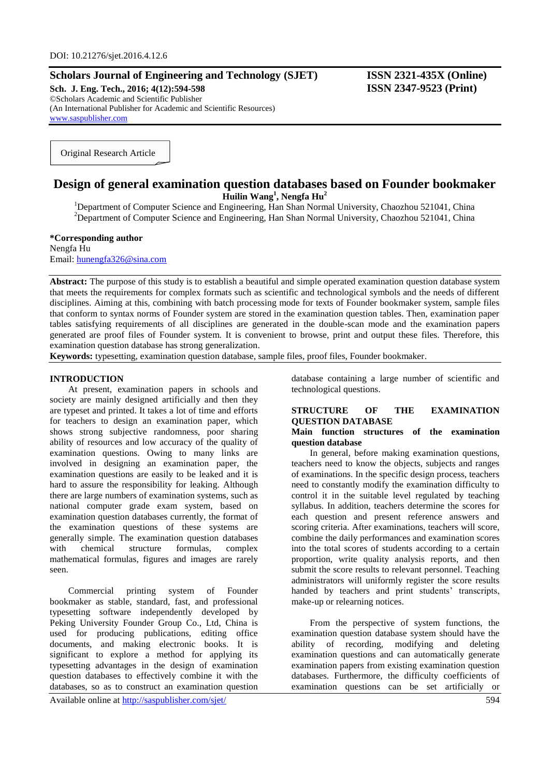## **Scholars Journal of Engineering and Technology (SJET) ISSN 2321-435X (Online)**

**Sch. J. Eng. Tech., 2016; 4(12):594-598 ISSN 2347-9523 (Print)** ©Scholars Academic and Scientific Publisher (An International Publisher for Academic and Scientific Resources) [www.saspublisher.com](http://www.saspublisher.com/)

Original Research Article

# **Design of general examination question databases based on Founder bookmaker Huilin Wang<sup>1</sup> , Nengfa Hu<sup>2</sup>**

<sup>1</sup>Department of Computer Science and Engineering, Han Shan Normal University, Chaozhou 521041, China <sup>2</sup>Department of Computer Science and Engineering, Han Shan Normal University, Chaozhou 521041, China

**\*Corresponding author** Nengfa Hu Email: [hunengfa326@sina.com](mailto:hunengfa326@sina.com)

**Abstract:** The purpose of this study is to establish a beautiful and simple operated examination question database system that meets the requirements for complex formats such as scientific and technological symbols and the needs of different disciplines. Aiming at this, combining with batch processing mode for texts of Founder bookmaker system, sample files that conform to syntax norms of Founder system are stored in the examination question tables. Then, examination paper tables satisfying requirements of all disciplines are generated in the double-scan mode and the examination papers generated are proof files of Founder system. It is convenient to browse, print and output these files. Therefore, this examination question database has strong generalization.

**Keywords:** typesetting, examination question database, sample files, proof files, Founder bookmaker.

## **INTRODUCTION**

At present, examination papers in schools and society are mainly designed artificially and then they are typeset and printed. It takes a lot of time and efforts for teachers to design an examination paper, which shows strong subjective randomness, poor sharing ability of resources and low accuracy of the quality of examination questions. Owing to many links are involved in designing an examination paper, the examination questions are easily to be leaked and it is hard to assure the responsibility for leaking. Although there are large numbers of examination systems, such as national computer grade exam system, based on examination question databases currently, the format of the examination questions of these systems are generally simple. The examination question databases with chemical structure formulas, complex mathematical formulas, figures and images are rarely seen.

Commercial printing system of Founder bookmaker as stable, standard, fast, and professional typesetting software independently developed by Peking University Founder Group Co., Ltd, China is used for producing publications, editing office documents, and making electronic books. It is significant to explore a method for applying its typesetting advantages in the design of examination question databases to effectively combine it with the databases, so as to construct an examination question

database containing a large number of scientific and technological questions.

## **STRUCTURE OF THE EXAMINATION QUESTION DATABASE**

## **Main function structures of the examination question database**

In general, before making examination questions, teachers need to know the objects, subjects and ranges of examinations. In the specific design process, teachers need to constantly modify the examination difficulty to control it in the suitable level regulated by teaching syllabus. In addition, teachers determine the scores for each question and present reference answers and scoring criteria. After examinations, teachers will score, combine the daily performances and examination scores into the total scores of students according to a certain proportion, write quality analysis reports, and then submit the score results to relevant personnel. Teaching administrators will uniformly register the score results handed by teachers and print students' transcripts, make-up or relearning notices.

From the perspective of system functions, the examination question database system should have the ability of recording, modifying and deleting examination questions and can automatically generate examination papers from existing examination question databases. Furthermore, the difficulty coefficients of examination questions can be set artificially or

Available online at<http://saspublisher.com/sjet/> 594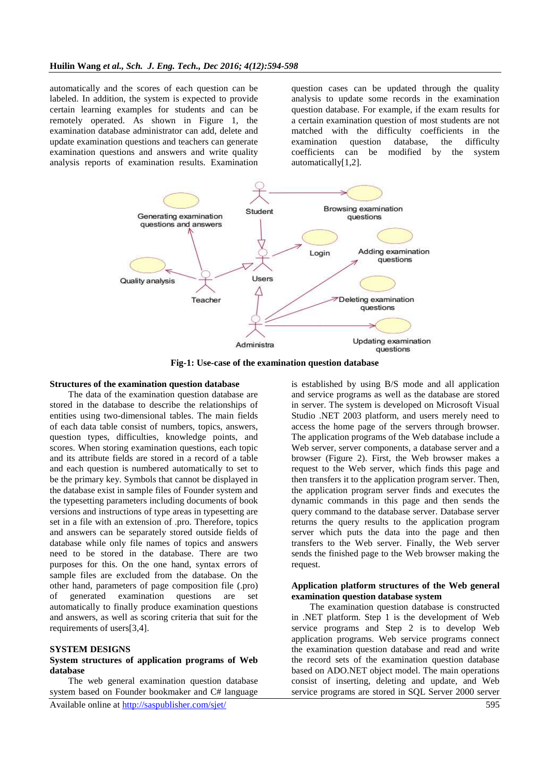automatically and the scores of each question can be labeled. In addition, the system is expected to provide certain learning examples for students and can be remotely operated. As shown in Figure 1, the examination database administrator can add, delete and update examination questions and teachers can generate examination questions and answers and write quality analysis reports of examination results. Examination

question cases can be updated through the quality analysis to update some records in the examination question database. For example, if the exam results for a certain examination question of most students are not matched with the difficulty coefficients in the examination question database, the difficulty coefficients can be modified by the system automatically[1,2].



**Fig-1: Use-case of the examination question database**

## **Structures of the examination question database**

The data of the examination question database are stored in the database to describe the relationships of entities using two-dimensional tables. The main fields of each data table consist of numbers, topics, answers, question types, difficulties, knowledge points, and scores. When storing examination questions, each topic and its attribute fields are stored in a record of a table and each question is numbered automatically to set to be the primary key. Symbols that cannot be displayed in the database exist in sample files of Founder system and the typesetting parameters including documents of book versions and instructions of type areas in typesetting are set in a file with an extension of .pro. Therefore, topics and answers can be separately stored outside fields of database while only file names of topics and answers need to be stored in the database. There are two purposes for this. On the one hand, syntax errors of sample files are excluded from the database. On the other hand, parameters of page composition file (.pro) of generated examination questions are set automatically to finally produce examination questions and answers, as well as scoring criteria that suit for the requirements of users[3,4].

### **SYSTEM DESIGNS**

## **System structures of application programs of Web database**

The web general examination question database system based on Founder bookmaker and C# language

is established by using B/S mode and all application and service programs as well as the database are stored in server. The system is developed on Microsoft Visual Studio .NET 2003 platform, and users merely need to access the home page of the servers through browser. The application programs of the Web database include a Web server, server components, a database server and a browser (Figure 2). First, the Web browser makes a request to the Web server, which finds this page and then transfers it to the application program server. Then, the application program server finds and executes the dynamic commands in this page and then sends the query command to the database server. Database server returns the query results to the application program server which puts the data into the page and then transfers to the Web server. Finally, the Web server sends the finished page to the Web browser making the request.

## **Application platform structures of the Web general examination question database system**

The examination question database is constructed in .NET platform. Step 1 is the development of Web service programs and Step 2 is to develop Web application programs. Web service programs connect the examination question database and read and write the record sets of the examination question database based on ADO.NET object model. The main operations consist of inserting, deleting and update, and Web service programs are stored in SQL Server 2000 server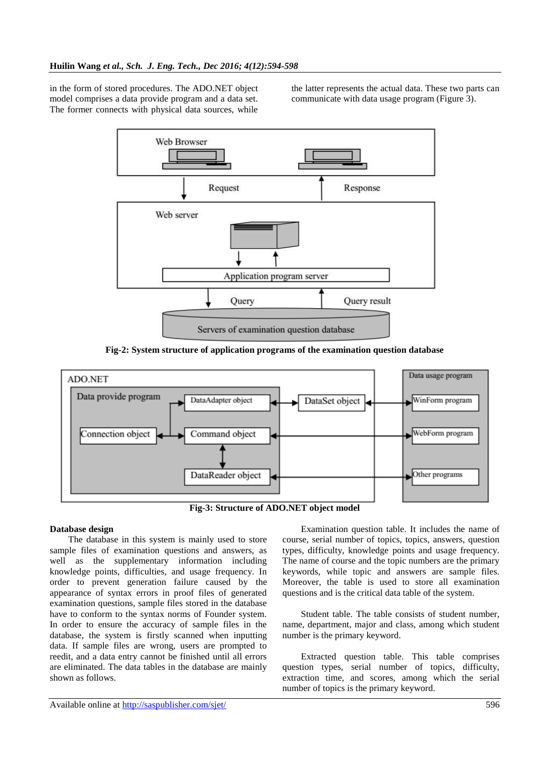in the form of stored procedures. The ADO.NET object model comprises a data provide program and a data set. The former connects with physical data sources, while

the latter represents the actual data. These two parts can communicate with data usage program (Figure 3).



**Fig-2: System structure of application programs of the examination question database**



**Fig-3: Structure of ADO.NET object model**

## **Database design**

The database in this system is mainly used to store sample files of examination questions and answers, as well as the supplementary information including knowledge points, difficulties, and usage frequency. In order to prevent generation failure caused by the appearance of syntax errors in proof files of generated examination questions, sample files stored in the database have to conform to the syntax norms of Founder system. In order to ensure the accuracy of sample files in the database, the system is firstly scanned when inputting data. If sample files are wrong, users are prompted to reedit, and a data entry cannot be finished until all errors are eliminated. The data tables in the database are mainly shown as follows.

Examination question table. It includes the name of course, serial number of topics, topics, answers, question types, difficulty, knowledge points and usage frequency. The name of course and the topic numbers are the primary keywords, while topic and answers are sample files. Moreover, the table is used to store all examination questions and is the critical data table of the system.

Student table. The table consists of student number, name, department, major and class, among which student number is the primary keyword.

Extracted question table. This table comprises question types, serial number of topics, difficulty, extraction time, and scores, among which the serial number of topics is the primary keyword.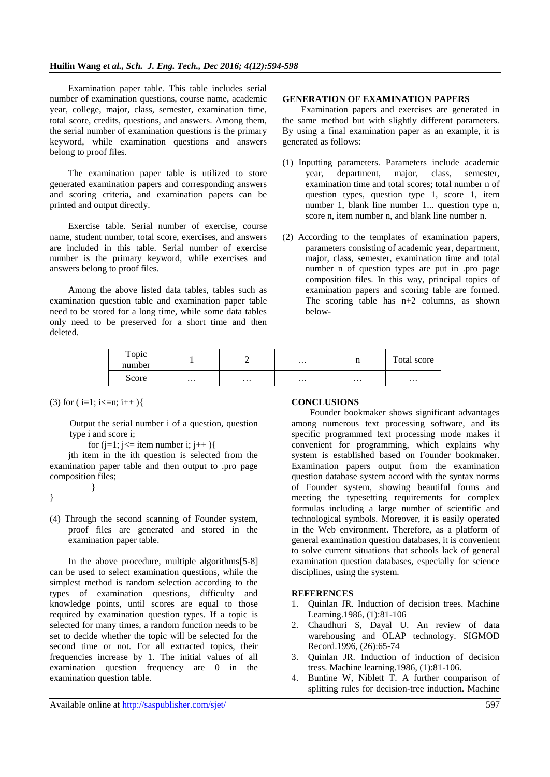Examination paper table. This table includes serial number of examination questions, course name, academic year, college, major, class, semester, examination time, total score, credits, questions, and answers. Among them, the serial number of examination questions is the primary keyword, while examination questions and answers belong to proof files.

The examination paper table is utilized to store generated examination papers and corresponding answers and scoring criteria, and examination papers can be printed and output directly.

Exercise table. Serial number of exercise, course name, student number, total score, exercises, and answers are included in this table. Serial number of exercise number is the primary keyword, while exercises and answers belong to proof files.

Among the above listed data tables, tables such as examination question table and examination paper table need to be stored for a long time, while some data tables only need to be preserved for a short time and then deleted.

### **GENERATION OF EXAMINATION PAPERS**

Examination papers and exercises are generated in the same method but with slightly different parameters. By using a final examination paper as an example, it is generated as follows:

- (1) Inputting parameters. Parameters include academic year, department, major, class, semester, examination time and total scores; total number n of question types, question type 1, score 1, item number 1, blank line number 1... question type n, score n, item number n, and blank line number n.
- (2) According to the templates of examination papers, parameters consisting of academic year, department, major, class, semester, examination time and total number n of question types are put in .pro page composition files. In this way, principal topics of examination papers and scoring table are formed. The scoring table has  $n+2$  columns, as shown below-

| Topic<br>number |          |          | $\cdots$ | щ        | Total score |
|-----------------|----------|----------|----------|----------|-------------|
| Score           | $\cdots$ | $\cdots$ | $\cdots$ | $\cdots$ | $\cdots$    |

 $(3)$  for  $(i=1; i<=n; i++)$ 

}

Output the serial number i of a question, question type i and score i;

for  $(j=1; j<=$  item number i;  $j++)$ 

jth item in the ith question is selected from the examination paper table and then output to .pro page composition files;

}

(4) Through the second scanning of Founder system, proof files are generated and stored in the examination paper table.

In the above procedure, multiple algorithms[5-8] can be used to select examination questions, while the simplest method is random selection according to the types of examination questions, difficulty and knowledge points, until scores are equal to those required by examination question types. If a topic is selected for many times, a random function needs to be set to decide whether the topic will be selected for the second time or not. For all extracted topics, their frequencies increase by 1. The initial values of all examination question frequency are 0 in the examination question table.

## **CONCLUSIONS**

Founder bookmaker shows significant advantages among numerous text processing software, and its specific programmed text processing mode makes it convenient for programming, which explains why system is established based on Founder bookmaker. Examination papers output from the examination question database system accord with the syntax norms of Founder system, showing beautiful forms and meeting the typesetting requirements for complex formulas including a large number of scientific and technological symbols. Moreover, it is easily operated in the Web environment. Therefore, as a platform of general examination question databases, it is convenient to solve current situations that schools lack of general examination question databases, especially for science disciplines, using the system.

## **REFERENCES**

- 1. Quinlan JR. Induction of decision trees. Machine Learning.1986, (1):81-106
- 2. Chaudhuri S, Dayal U. An review of data warehousing and OLAP technology. SIGMOD Record.1996, (26):65-74
- 3. Quinlan JR. Induction of induction of decision tress. Machine learning.1986, (1):81-106.
- 4. Buntine W, Niblett T. A further comparison of splitting rules for decision-tree induction. Machine